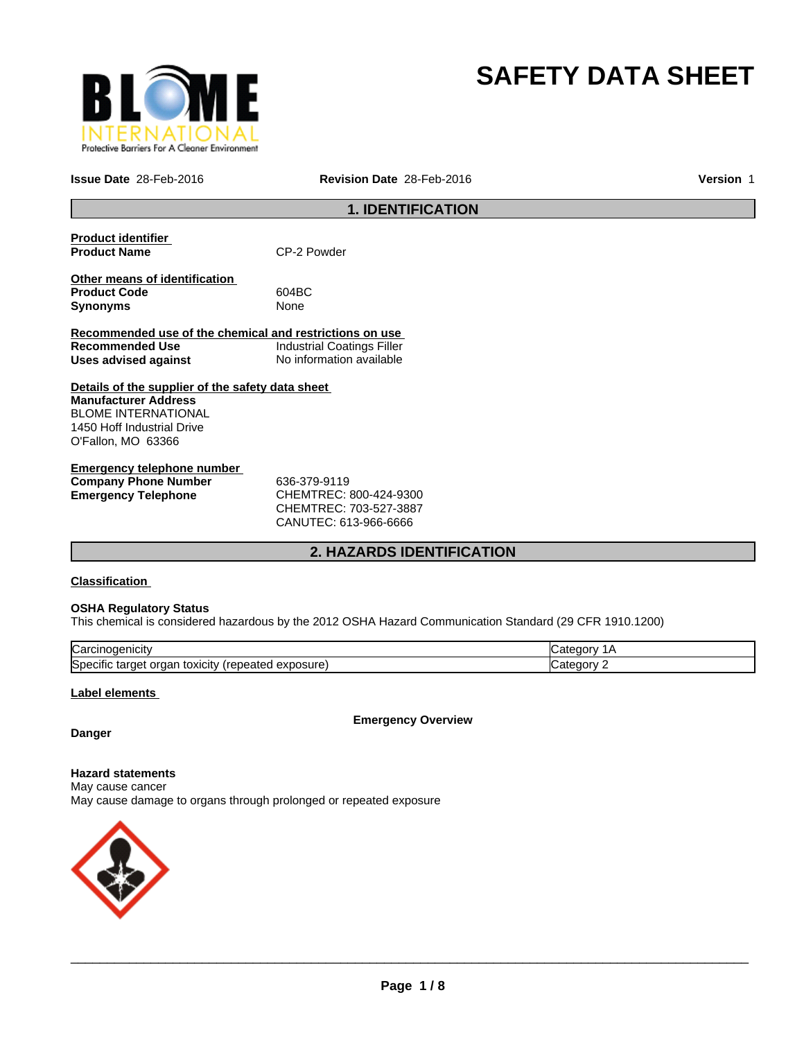

# **SAFETY DATA SHEET**

**Issue Date** 28-Feb-2016 **Revision Date** 28-Feb-2016

**Version** 1

# **1. IDENTIFICATION**

| <b>Product identifier</b><br><b>Product Name</b>                        | CP-2 Powder                       |
|-------------------------------------------------------------------------|-----------------------------------|
| Other means of identification<br><b>Product Code</b><br><b>Synonyms</b> | 604BC<br>None                     |
| Recommended use of the chemical and restrictions on use                 |                                   |
| <b>Recommended Use</b>                                                  | <b>Industrial Coatings Filler</b> |
| Uses advised against                                                    | No information available          |
| Details of the supplier of the safety data sheet                        |                                   |
| <b>Manufacturer Address</b>                                             |                                   |
| <b>BLOME INTERNATIONAL</b>                                              |                                   |
| 1450 Hoff Industrial Drive                                              |                                   |
| O'Fallon, MO 63366                                                      |                                   |
| Emergency telephone number                                              |                                   |

| Emergency telephone number  |                                     |  |
|-----------------------------|-------------------------------------|--|
| <b>Company Phone Number</b> | 636-379-9119                        |  |
| Emergency Telephone         | CHEMTREC: 800-424-9300              |  |
|                             | $C$ HEMTRE $C$ $\cdot$ 703-527-3887 |  |

CHEMTREC: 703-527-3887 CANUTEC: 613-966-6666

# **2. HAZARDS IDENTIFICATION**

#### **Classification**

#### **OSHA Regulatory Status**

This chemical is considered hazardous by the 2012 OSHA Hazard Communication Standard (29 CFR 1910.1200)

| ∽<br>lual                                                                            |  |
|--------------------------------------------------------------------------------------|--|
| <b>S</b> pe<br>osur<br>эню<br>eatec<br>targe<br><b>TOXICILY</b><br>Jа<br>58 U<br>. . |  |

#### **Label elements**

**Emergency Overview**

# **Danger**

**Hazard statements** May cause cancer May cause damage to organs through prolonged or repeated exposure

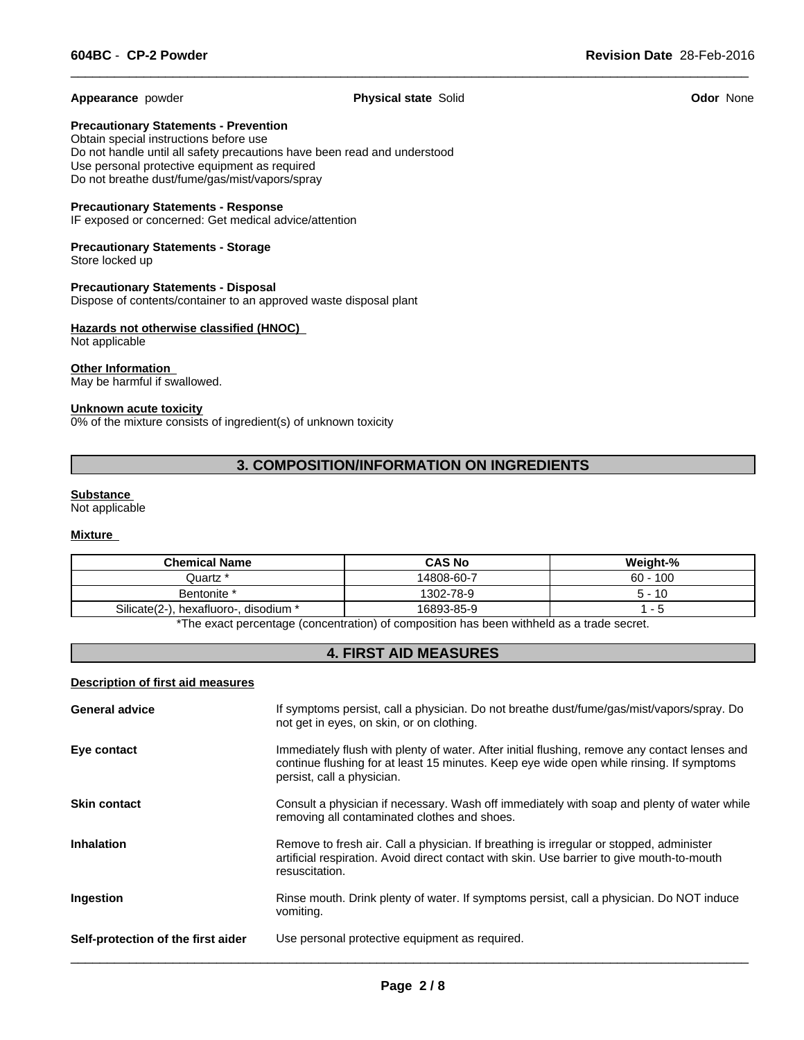**Appearance** powder **Physical state** Solid **Odor** None

 $\overline{\phantom{a}}$  ,  $\overline{\phantom{a}}$  ,  $\overline{\phantom{a}}$  ,  $\overline{\phantom{a}}$  ,  $\overline{\phantom{a}}$  ,  $\overline{\phantom{a}}$  ,  $\overline{\phantom{a}}$  ,  $\overline{\phantom{a}}$  ,  $\overline{\phantom{a}}$  ,  $\overline{\phantom{a}}$  ,  $\overline{\phantom{a}}$  ,  $\overline{\phantom{a}}$  ,  $\overline{\phantom{a}}$  ,  $\overline{\phantom{a}}$  ,  $\overline{\phantom{a}}$  ,  $\overline{\phantom{a}}$ 

**Precautionary Statements - Prevention**

Obtain special instructions before use Do not handle until all safety precautions have been read and understood Use personal protective equipment as required Do not breathe dust/fume/gas/mist/vapors/spray

#### **Precautionary Statements - Response**

IF exposed or concerned: Get medical advice/attention

#### **Precautionary Statements - Storage** Store locked up

**Precautionary Statements - Disposal** Dispose of contents/container to an approved waste disposal plant

#### **Hazards not otherwise classified (HNOC)**  Not applicable

# **Other Information**

May be harmful if swallowed.

#### **Unknown acute toxicity**

0% of the mixture consists of ingredient(s) of unknown toxicity

# **3. COMPOSITION/INFORMATION ON INGREDIENTS**

#### **Substance**

Not applicable

# **Mixture**

| $60 - 100$<br>14808-60-7<br>Juartz *<br>1302-78-9<br>Bentonite *<br>$5 - 10$ | <b>Chemical Name</b>                  | <b>CAS No</b> | Weight-% |
|------------------------------------------------------------------------------|---------------------------------------|---------------|----------|
|                                                                              |                                       |               |          |
|                                                                              |                                       |               |          |
|                                                                              | Silicate(2-), hexafluoro-, disodium * | 16893-85-9    |          |

The exact percentage (concentration) of composition has been withheld as a trade secret.

# **4. FIRST AID MEASURES**

#### **Description of first aid measures**

| <b>General advice</b>              | If symptoms persist, call a physician. Do not breathe dust/fume/gas/mist/vapors/spray. Do<br>not get in eyes, on skin, or on clothing.                                                                                  |
|------------------------------------|-------------------------------------------------------------------------------------------------------------------------------------------------------------------------------------------------------------------------|
| Eye contact                        | Immediately flush with plenty of water. After initial flushing, remove any contact lenses and<br>continue flushing for at least 15 minutes. Keep eye wide open while rinsing. If symptoms<br>persist, call a physician. |
| <b>Skin contact</b>                | Consult a physician if necessary. Wash off immediately with soap and plenty of water while<br>removing all contaminated clothes and shoes.                                                                              |
| <b>Inhalation</b>                  | Remove to fresh air. Call a physician. If breathing is irregular or stopped, administer<br>artificial respiration. Avoid direct contact with skin. Use barrier to give mouth-to-mouth<br>resuscitation.                 |
| Ingestion                          | Rinse mouth. Drink plenty of water. If symptoms persist, call a physician. Do NOT induce<br>vomiting.                                                                                                                   |
| Self-protection of the first aider | Use personal protective equipment as required.                                                                                                                                                                          |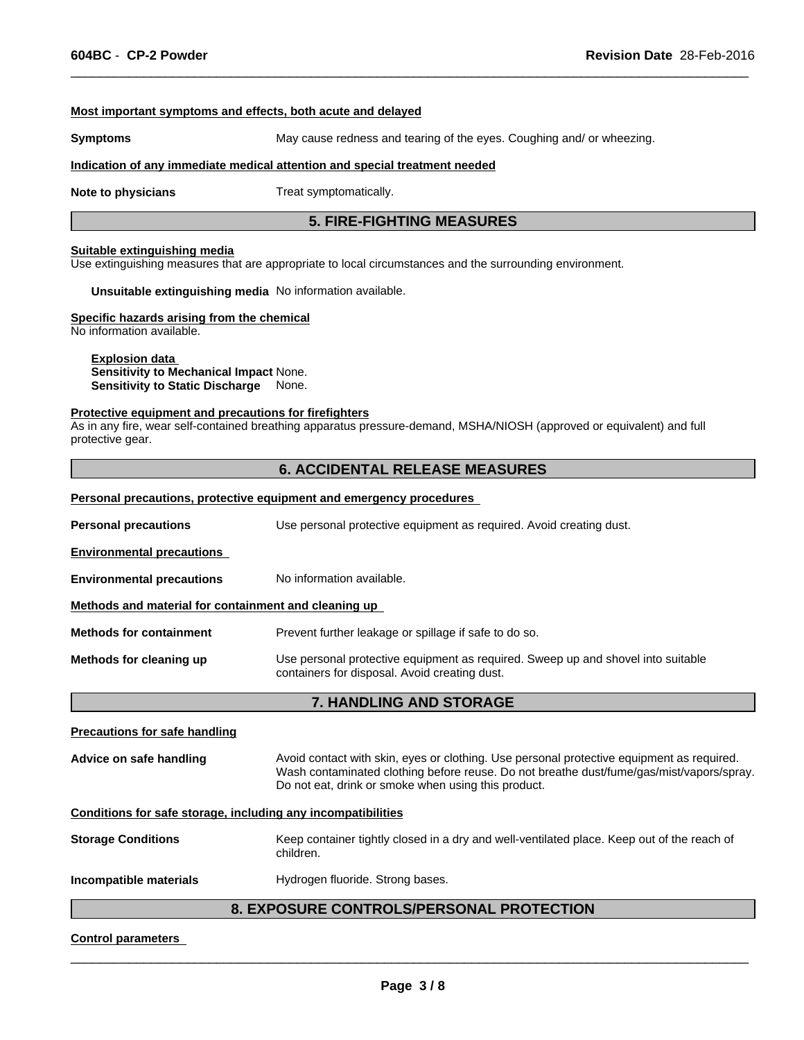#### **Most important symptoms and effects, both acute and delayed**

**Symptoms** May cause redness and tearing of the eyes. Coughing and/ or wheezing.

 $\overline{\phantom{a}}$  ,  $\overline{\phantom{a}}$  ,  $\overline{\phantom{a}}$  ,  $\overline{\phantom{a}}$  ,  $\overline{\phantom{a}}$  ,  $\overline{\phantom{a}}$  ,  $\overline{\phantom{a}}$  ,  $\overline{\phantom{a}}$  ,  $\overline{\phantom{a}}$  ,  $\overline{\phantom{a}}$  ,  $\overline{\phantom{a}}$  ,  $\overline{\phantom{a}}$  ,  $\overline{\phantom{a}}$  ,  $\overline{\phantom{a}}$  ,  $\overline{\phantom{a}}$  ,  $\overline{\phantom{a}}$ 

#### **Indication of any immediate medical attention and special treatment needed**

**Note to physicians** Treat symptomatically.

## **5. FIRE-FIGHTING MEASURES**

#### **Suitable extinguishing media**

Use extinguishing measures that are appropriate to local circumstances and the surrounding environment.

**Unsuitable extinguishing media** No information available.

#### **Specific hazards arising from the chemical**

No information available.

#### **Explosion data Sensitivity to Mechanical Impact** None. **Sensitivity to Static Discharge** None.

#### **Protective equipment and precautions for firefighters**

As in any fire, wear self-contained breathing apparatus pressure-demand, MSHA/NIOSH (approved or equivalent) and full protective gear.

### **6. ACCIDENTAL RELEASE MEASURES**

#### **Personal precautions, protective equipment and emergency procedures**

| <b>Personal precautions</b>                          | Use personal protective equipment as required. Avoid creating dust.                                                               |
|------------------------------------------------------|-----------------------------------------------------------------------------------------------------------------------------------|
| <b>Environmental precautions</b>                     |                                                                                                                                   |
| <b>Environmental precautions</b>                     | No information available.                                                                                                         |
| Methods and material for containment and cleaning up |                                                                                                                                   |
| <b>Methods for containment</b>                       | Prevent further leakage or spillage if safe to do so.                                                                             |
| Methods for cleaning up                              | Use personal protective equipment as required. Sweep up and shovel into suitable<br>containers for disposal. Avoid creating dust. |
|                                                      | <b>7. HANDLING AND STORAGE</b>                                                                                                    |

| <b>Precautions for safe handling</b>                         |                                                                                                                                                                                                                                              |  |
|--------------------------------------------------------------|----------------------------------------------------------------------------------------------------------------------------------------------------------------------------------------------------------------------------------------------|--|
| Advice on safe handling                                      | Avoid contact with skin, eyes or clothing. Use personal protective equipment as required.<br>Wash contaminated clothing before reuse. Do not breathe dust/fume/gas/mist/vapors/spray.<br>Do not eat, drink or smoke when using this product. |  |
| Conditions for safe storage, including any incompatibilities |                                                                                                                                                                                                                                              |  |
| <b>Storage Conditions</b>                                    | Keep container tightly closed in a dry and well-ventilated place. Keep out of the reach of<br>children.                                                                                                                                      |  |
| Incompatible materials                                       | Hydrogen fluoride. Strong bases.                                                                                                                                                                                                             |  |

# **8. EXPOSURE CONTROLS/PERSONAL PROTECTION**

#### **Control parameters**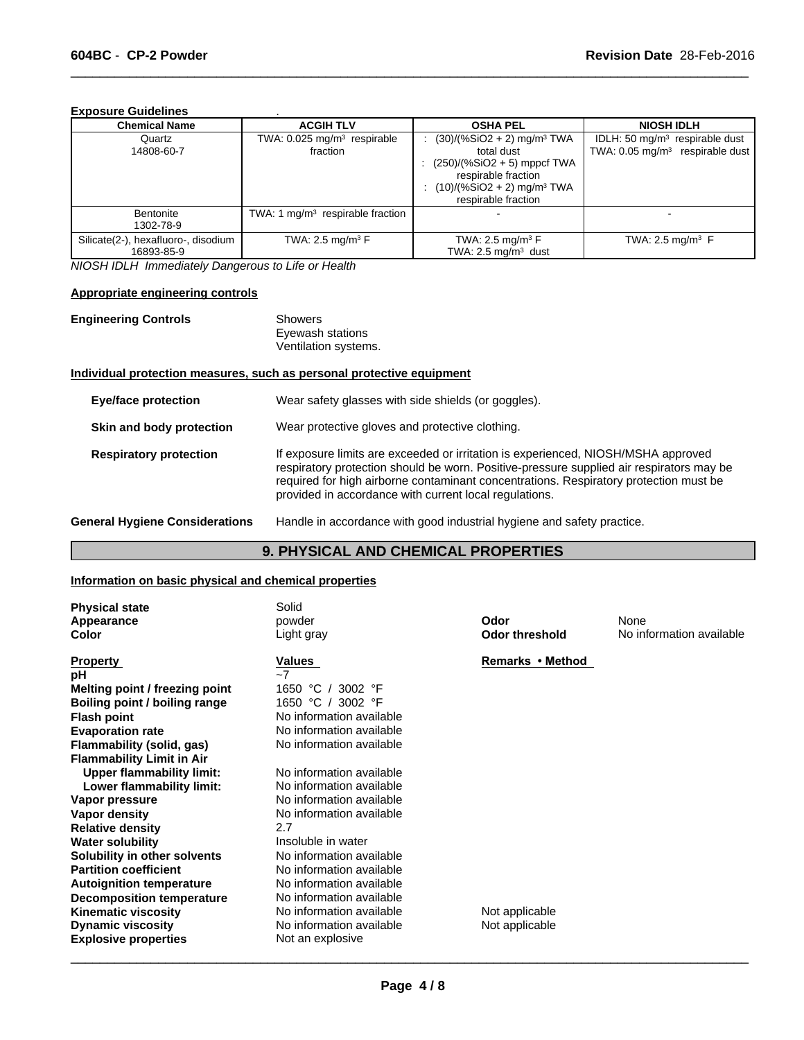#### **Exposure Guidelines** .

| <b>Chemical Name</b>                              | <b>ACGIH TLV</b>                                    | <b>OSHA PEL</b>                                                                                                                                                                     | <b>NIOSH IDLH</b>                                                               |
|---------------------------------------------------|-----------------------------------------------------|-------------------------------------------------------------------------------------------------------------------------------------------------------------------------------------|---------------------------------------------------------------------------------|
| Quartz<br>14808-60-7                              | TWA: 0.025 mg/m <sup>3</sup> respirable<br>fraction | $(30)/(%SiO2 + 2)$ mg/m <sup>3</sup> TWA<br>total dust<br>: $(250)/(%SiO2 + 5)$ mppcf TWA<br>respirable fraction<br>$(10)/(%SiO2 + 2)$ mg/m <sup>3</sup> TWA<br>respirable fraction | IDLH: 50 $mq/m3$ respirable dust<br>TWA: 0.05 mg/m <sup>3</sup> respirable dust |
| Bentonite<br>1302-78-9                            | TWA: 1 $mq/m3$ respirable fraction                  |                                                                                                                                                                                     |                                                                                 |
| Silicate(2-), hexafluoro-, disodium<br>16893-85-9 | TWA: 2.5 mg/m <sup>3</sup> $F$                      | TWA: 2.5 mg/m <sup>3</sup> $F$<br>TWA: $2.5 \text{ mg/m}^3$ dust                                                                                                                    | TWA: 2.5 mg/m <sup>3</sup> $F$                                                  |

 $\overline{\phantom{a}}$  ,  $\overline{\phantom{a}}$  ,  $\overline{\phantom{a}}$  ,  $\overline{\phantom{a}}$  ,  $\overline{\phantom{a}}$  ,  $\overline{\phantom{a}}$  ,  $\overline{\phantom{a}}$  ,  $\overline{\phantom{a}}$  ,  $\overline{\phantom{a}}$  ,  $\overline{\phantom{a}}$  ,  $\overline{\phantom{a}}$  ,  $\overline{\phantom{a}}$  ,  $\overline{\phantom{a}}$  ,  $\overline{\phantom{a}}$  ,  $\overline{\phantom{a}}$  ,  $\overline{\phantom{a}}$ 

*NIOSH IDLH Immediately Dangerous to Life or Health*

#### **Appropriate engineering controls**

**Engineering Controls** 

| Showers              |
|----------------------|
| Eyewash stations     |
| Ventilation systems. |

#### **Individual protection measures, such as personal protective equipment**

| <b>Eye/face protection</b>            | Wear safety glasses with side shields (or goggles).                                                                                                                                                                                                                                                                              |
|---------------------------------------|----------------------------------------------------------------------------------------------------------------------------------------------------------------------------------------------------------------------------------------------------------------------------------------------------------------------------------|
| Skin and body protection              | Wear protective gloves and protective clothing.                                                                                                                                                                                                                                                                                  |
| <b>Respiratory protection</b>         | If exposure limits are exceeded or irritation is experienced, NIOSH/MSHA approved<br>respiratory protection should be worn. Positive-pressure supplied air respirators may be<br>required for high airborne contaminant concentrations. Respiratory protection must be<br>provided in accordance with current local regulations. |
| <b>General Hygiene Considerations</b> | Handle in accordance with good industrial hygiene and safety practice.                                                                                                                                                                                                                                                           |

# **9. PHYSICAL AND CHEMICAL PROPERTIES**

# **Information on basic physical and chemical properties**

| <b>Physical state</b><br>Appearance<br><b>Color</b> | Solid<br>powder<br>Light gray | Odor<br><b>Odor threshold</b> | None<br>No information available |
|-----------------------------------------------------|-------------------------------|-------------------------------|----------------------------------|
|                                                     |                               |                               |                                  |
| <b>Property</b>                                     | Values                        | Remarks • Method              |                                  |
| рH                                                  | $-7$                          |                               |                                  |
| Melting point / freezing point                      | 3002 °F<br>1650 °C            |                               |                                  |
| Boiling point / boiling range                       | 3002 °F<br>1650 °C            |                               |                                  |
| <b>Flash point</b>                                  | No information available      |                               |                                  |
| <b>Evaporation rate</b>                             | No information available      |                               |                                  |
| Flammability (solid, gas)                           | No information available      |                               |                                  |
| <b>Flammability Limit in Air</b>                    |                               |                               |                                  |
| Upper flammability limit:                           | No information available      |                               |                                  |
| Lower flammability limit:                           | No information available      |                               |                                  |
| Vapor pressure                                      | No information available      |                               |                                  |
| Vapor density                                       | No information available      |                               |                                  |
| <b>Relative density</b>                             | 2.7                           |                               |                                  |
| <b>Water solubility</b>                             | Insoluble in water            |                               |                                  |
| Solubility in other solvents                        | No information available      |                               |                                  |
| <b>Partition coefficient</b>                        | No information available      |                               |                                  |
| <b>Autoignition temperature</b>                     | No information available      |                               |                                  |
| <b>Decomposition temperature</b>                    | No information available      |                               |                                  |
| <b>Kinematic viscosity</b>                          | No information available      | Not applicable                |                                  |
| <b>Dynamic viscosity</b>                            | No information available      | Not applicable                |                                  |
| <b>Explosive properties</b>                         | Not an explosive              |                               |                                  |
|                                                     |                               |                               |                                  |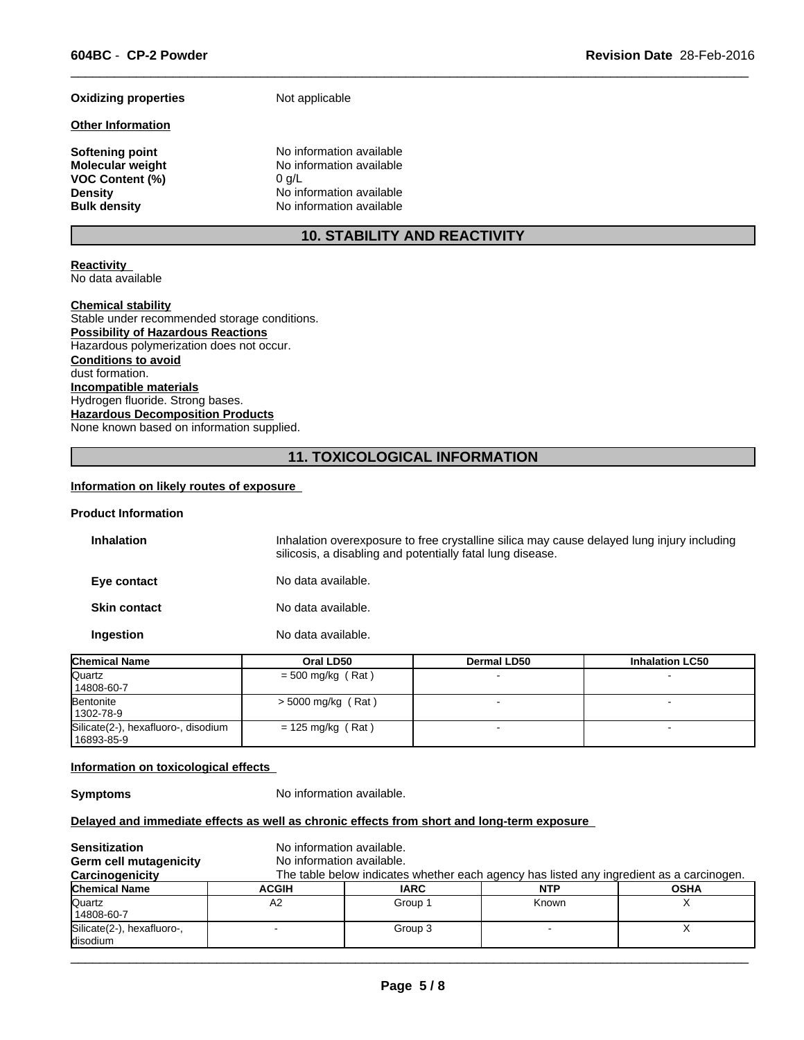#### **Oxidizing properties** Not applicable

#### **Other Information**

**VOC Content (%)** 0 g/L

**Softening point**<br> **Molecular weight**<br> **Molecular weight**<br> **Molecular weight**<br> **Molecular weight**<br> **Molecular weight No information available Density Density Density Density No** information available **Bulk density No** information available **Bulk density** No information available

# **10. STABILITY AND REACTIVITY**

 $\overline{\phantom{a}}$  ,  $\overline{\phantom{a}}$  ,  $\overline{\phantom{a}}$  ,  $\overline{\phantom{a}}$  ,  $\overline{\phantom{a}}$  ,  $\overline{\phantom{a}}$  ,  $\overline{\phantom{a}}$  ,  $\overline{\phantom{a}}$  ,  $\overline{\phantom{a}}$  ,  $\overline{\phantom{a}}$  ,  $\overline{\phantom{a}}$  ,  $\overline{\phantom{a}}$  ,  $\overline{\phantom{a}}$  ,  $\overline{\phantom{a}}$  ,  $\overline{\phantom{a}}$  ,  $\overline{\phantom{a}}$ 

#### **Reactivity**  No data available

#### **Chemical stability**

Stable under recommended storage conditions. **Possibility of Hazardous Reactions** Hazardous polymerization does not occur. **Conditions to avoid** dust formation. **Incompatible materials** Hydrogen fluoride. Strong bases. **Hazardous Decomposition Products** None known based on information supplied.

# **11. TOXICOLOGICAL INFORMATION**

#### **Information on likely routes of exposure**

#### **Product Information**

| <b>Inhalation</b>   | Inhalation overexposure to free crystalline silica may cause delayed lung injury including<br>silicosis, a disabling and potentially fatal lung disease. |
|---------------------|----------------------------------------------------------------------------------------------------------------------------------------------------------|
| Eye contact         | No data available.                                                                                                                                       |
| <b>Skin contact</b> | No data available.                                                                                                                                       |
| Ingestion           | No data available.                                                                                                                                       |

| <b>Chemical Name</b>                | Oral LD50            | <b>Dermal LD50</b> | <b>Inhalation LC50</b> |  |
|-------------------------------------|----------------------|--------------------|------------------------|--|
| Quartz                              | $=$ 500 mg/kg (Rat)  |                    |                        |  |
| 14808-60-7                          |                      |                    |                        |  |
| Bentonite                           | $>$ 5000 mg/kg (Rat) |                    |                        |  |
| 1302-78-9                           |                      |                    |                        |  |
| Silicate(2-), hexafluoro-, disodium | $= 125$ mg/kg (Rat)  |                    |                        |  |
| 16893-85-9                          |                      |                    |                        |  |

#### **Information on toxicological effects**

**Symptoms** No information available.

#### **Delayed and immediate effects as well as chronic effects from short and long-term exposure**

| <b>Sensitization</b><br>Germ cell mutagenicity<br>Carcinogenicity | No information available.<br>No information available.<br>The table below indicates whether each agency has listed any ingredient as a carcinogen. |             |            |             |
|-------------------------------------------------------------------|----------------------------------------------------------------------------------------------------------------------------------------------------|-------------|------------|-------------|
| <b>Chemical Name</b>                                              | <b>ACGIH</b>                                                                                                                                       | <b>IARC</b> | <b>NTP</b> | <b>OSHA</b> |
| Quartz<br>14808-60-7                                              | А2                                                                                                                                                 | Group 1     | Known      |             |
| Silicate(2-), hexafluoro-,<br>disodium                            |                                                                                                                                                    | Group 3     |            |             |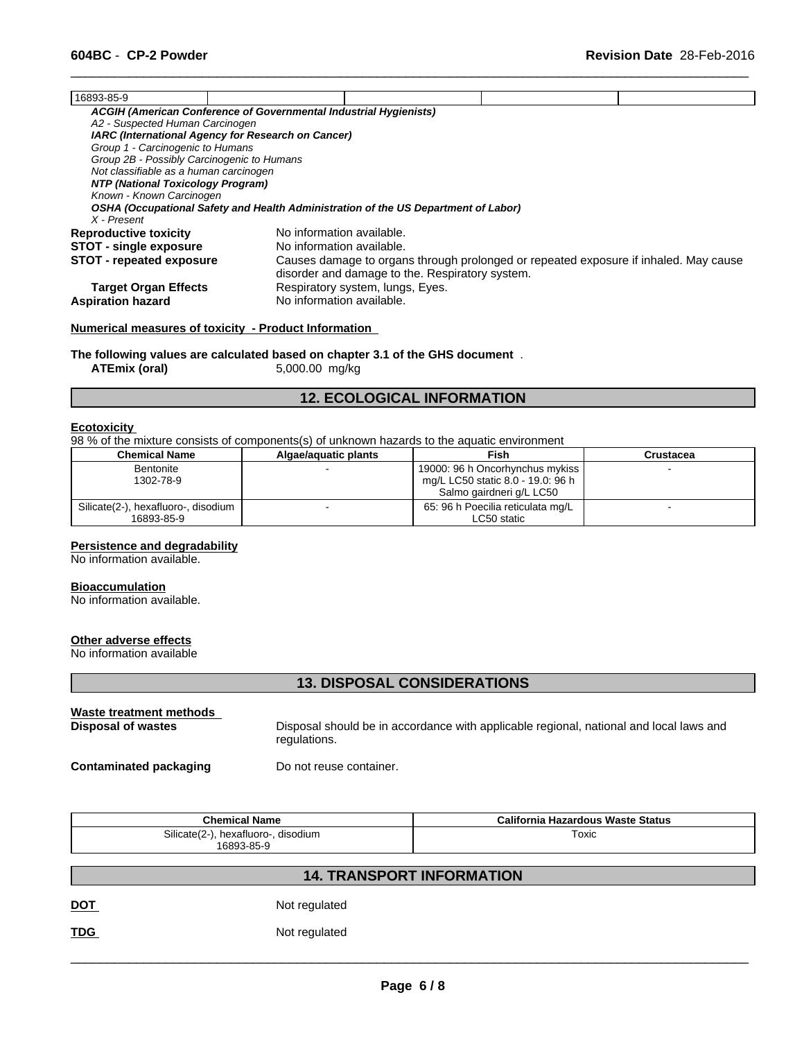| 16893-85-9                                 |                                                                                    |                                                 |                                                                                      |  |
|--------------------------------------------|------------------------------------------------------------------------------------|-------------------------------------------------|--------------------------------------------------------------------------------------|--|
|                                            | ACGIH (American Conference of Governmental Industrial Hygienists)                  |                                                 |                                                                                      |  |
| A2 - Suspected Human Carcinogen            |                                                                                    |                                                 |                                                                                      |  |
|                                            | IARC (International Agency for Research on Cancer)                                 |                                                 |                                                                                      |  |
| Group 1 - Carcinogenic to Humans           |                                                                                    |                                                 |                                                                                      |  |
| Group 2B - Possibly Carcinogenic to Humans |                                                                                    |                                                 |                                                                                      |  |
| Not classifiable as a human carcinogen     |                                                                                    |                                                 |                                                                                      |  |
| NTP (National Toxicology Program)          |                                                                                    |                                                 |                                                                                      |  |
| Known - Known Carcinogen                   |                                                                                    |                                                 |                                                                                      |  |
|                                            | OSHA (Occupational Safety and Health Administration of the US Department of Labor) |                                                 |                                                                                      |  |
| X - Present                                |                                                                                    |                                                 |                                                                                      |  |
| <b>Reproductive toxicity</b>               | No information available.                                                          |                                                 |                                                                                      |  |
| <b>STOT - single exposure</b>              | No information available.                                                          |                                                 |                                                                                      |  |
| <b>STOT - repeated exposure</b>            |                                                                                    |                                                 | Causes damage to organs through prolonged or repeated exposure if inhaled. May cause |  |
|                                            |                                                                                    | disorder and damage to the. Respiratory system. |                                                                                      |  |
| <b>Target Organ Effects</b>                |                                                                                    | Respiratory system, lungs, Eyes.                |                                                                                      |  |
| <b>Aspiration hazard</b>                   | No information available.                                                          |                                                 |                                                                                      |  |
|                                            |                                                                                    |                                                 |                                                                                      |  |

 $\overline{\phantom{a}}$  ,  $\overline{\phantom{a}}$  ,  $\overline{\phantom{a}}$  ,  $\overline{\phantom{a}}$  ,  $\overline{\phantom{a}}$  ,  $\overline{\phantom{a}}$  ,  $\overline{\phantom{a}}$  ,  $\overline{\phantom{a}}$  ,  $\overline{\phantom{a}}$  ,  $\overline{\phantom{a}}$  ,  $\overline{\phantom{a}}$  ,  $\overline{\phantom{a}}$  ,  $\overline{\phantom{a}}$  ,  $\overline{\phantom{a}}$  ,  $\overline{\phantom{a}}$  ,  $\overline{\phantom{a}}$ 

#### **Numerical measures of toxicity - Product Information**

**The following values are calculated based on chapter 3.1 of the GHS document** . **ATEmix (oral)** 5,000.00 mg/kg

# **12. ECOLOGICAL INFORMATION**

#### **Ecotoxicity**

98 % of the mixture consists of components(s) of unknown hazards to the aquatic environment

| <b>Chemical Name</b>                | Algae/aguatic plants | Fish                              | Crustacea |  |
|-------------------------------------|----------------------|-----------------------------------|-----------|--|
| <b>Bentonite</b>                    |                      | 19000: 96 h Oncorhynchus mykiss   |           |  |
| 1302-78-9                           |                      | mg/L LC50 static 8.0 - 19.0: 96 h |           |  |
|                                     |                      | Salmo gairdneri g/L LC50          |           |  |
| Silicate(2-), hexafluoro-, disodium |                      | 65: 96 h Poecilia reticulata mg/L |           |  |
| 16893-85-9                          |                      | LC50 static                       |           |  |

#### **Persistence and degradability**

No information available.

#### **Bioaccumulation**

No information available.

### **Other adverse effects**

No information available

# **13. DISPOSAL CONSIDERATIONS**

| Waste treatment methods | Disposal should be in accordance with applicable regional, national and local laws and |
|-------------------------|----------------------------------------------------------------------------------------|
| Disposal of wastes      | regulations.                                                                           |
| Contaminated packaging  | Do not reuse container.                                                                |

| <b>Chemical Name</b>                      | California Hazardous Waste Status |
|-------------------------------------------|-----------------------------------|
| Silicate (2-)<br>disodium<br>hexatluoro-, | ⊺oxic                             |
| 16893-85-9                                |                                   |

# **14. TRANSPORT INFORMATION**

**DOT** Not regulated

**TDG** Not regulated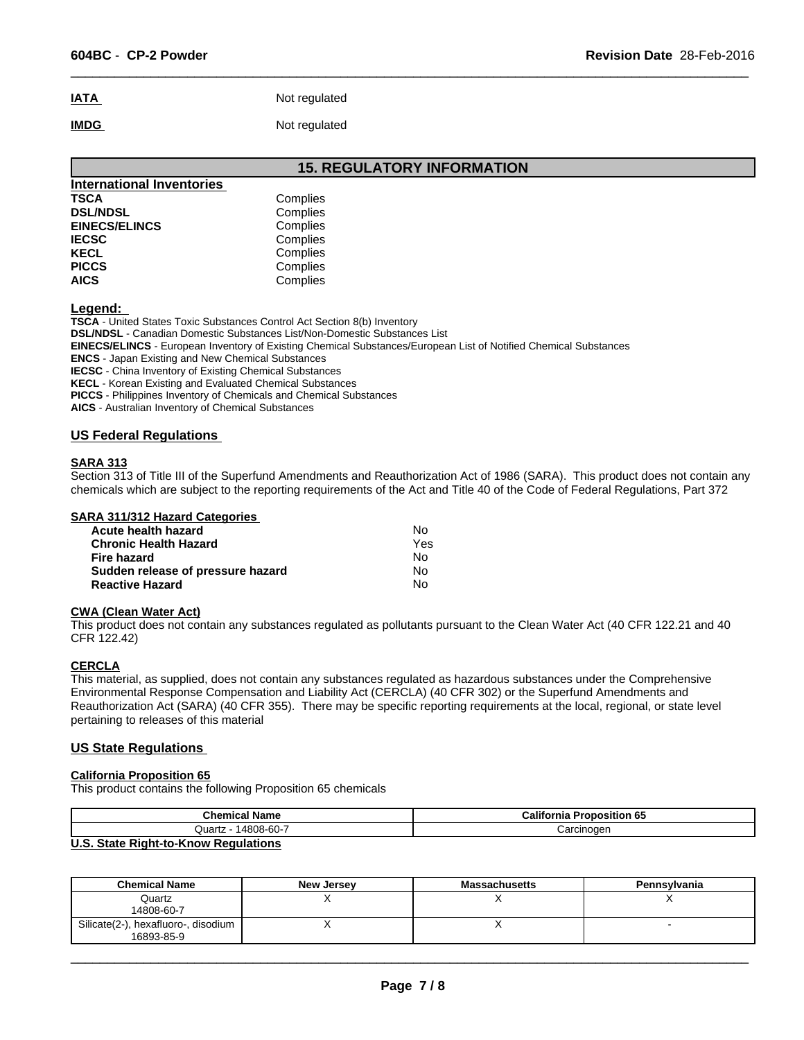# **IATA** Not regulated **IMDG** Not regulated

# **15. REGULATORY INFORMATION**

 $\overline{\phantom{a}}$  ,  $\overline{\phantom{a}}$  ,  $\overline{\phantom{a}}$  ,  $\overline{\phantom{a}}$  ,  $\overline{\phantom{a}}$  ,  $\overline{\phantom{a}}$  ,  $\overline{\phantom{a}}$  ,  $\overline{\phantom{a}}$  ,  $\overline{\phantom{a}}$  ,  $\overline{\phantom{a}}$  ,  $\overline{\phantom{a}}$  ,  $\overline{\phantom{a}}$  ,  $\overline{\phantom{a}}$  ,  $\overline{\phantom{a}}$  ,  $\overline{\phantom{a}}$  ,  $\overline{\phantom{a}}$ 

| <b>International Inventories</b> |          |  |
|----------------------------------|----------|--|
| <b>TSCA</b>                      | Complies |  |
| <b>DSL/NDSL</b>                  | Complies |  |
| <b>EINECS/ELINCS</b>             | Complies |  |
| <b>IECSC</b>                     | Complies |  |
| <b>KECL</b>                      | Complies |  |
| <b>PICCS</b>                     | Complies |  |
| <b>AICS</b>                      | Complies |  |

**Legend:** 

**TSCA** - United States Toxic Substances Control Act Section 8(b) Inventory

**DSL/NDSL** - Canadian Domestic Substances List/Non-Domestic Substances List

**EINECS/ELINCS** - European Inventory of Existing Chemical Substances/European List of Notified Chemical Substances

**ENCS** - Japan Existing and New Chemical Substances

**IECSC** - China Inventory of Existing Chemical Substances

**KECL** - Korean Existing and Evaluated Chemical Substances

**PICCS** - Philippines Inventory of Chemicals and Chemical Substances

**AICS** - Australian Inventory of Chemical Substances

#### **US Federal Regulations**

#### **SARA 313**

Section 313 of Title III of the Superfund Amendments and Reauthorization Act of 1986 (SARA). This product does not contain any chemicals which are subject to the reporting requirements of the Act and Title 40 of the Code of Federal Regulations, Part 372

#### **SARA 311/312 Hazard Categories**

| Acute health hazard               | N٥  |
|-----------------------------------|-----|
| <b>Chronic Health Hazard</b>      | Yes |
| Fire hazard                       | N٥  |
| Sudden release of pressure hazard | N٥  |
| <b>Reactive Hazard</b>            | No  |

#### **CWA (Clean Water Act)**

This product does not contain any substances regulated as pollutants pursuant to the Clean Water Act (40 CFR 122.21 and 40 CFR 122.42)

#### **CERCLA**

This material, as supplied, does not contain any substances regulated as hazardous substances under the Comprehensive Environmental Response Compensation and Liability Act (CERCLA) (40 CFR 302) or the Superfund Amendments and Reauthorization Act (SARA) (40 CFR 355). There may be specific reporting requirements at the local, regional, or state level pertaining to releases of this material

#### **US State Regulations**

#### **California Proposition 65**

This product contains the following Proposition 65 chemicals

| <b>Chemical Name</b>          | California<br><b>Proposition 65</b> |
|-------------------------------|-------------------------------------|
| <b>4808-60-7</b><br>Quartz    | Carcinoger                          |
| $\mathbf{H} \cdot \mathbf{A}$ |                                     |

#### **U.S. State Right-to-Know Regulations**

| <b>Chemical Name</b>                              | New Jersey | <b>Massachusetts</b> | Pennsylvania |
|---------------------------------------------------|------------|----------------------|--------------|
| Quartz<br>14808-60-7                              |            |                      |              |
| Silicate(2-), hexafluoro-, disodium<br>16893-85-9 |            |                      |              |